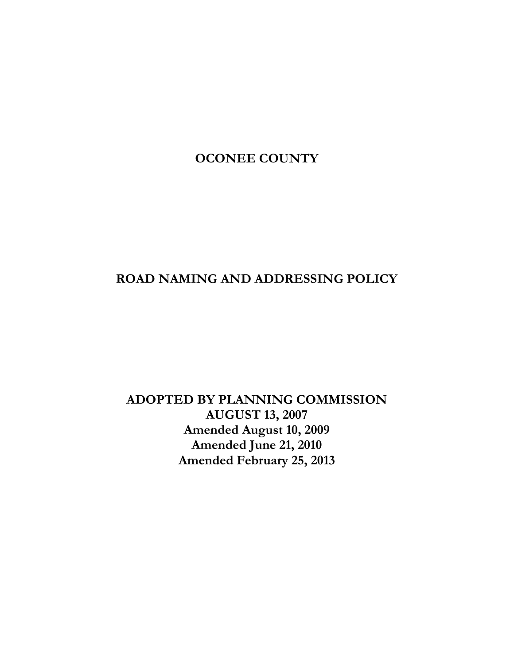# **OCONEE COUNTY**

# **ROAD NAMING AND ADDRESSING POLICY**

# **ADOPTED BY PLANNING COMMISSION AUGUST 13, 2007 Amended August 10, 2009 Amended June 21, 2010 Amended February 25, 2013**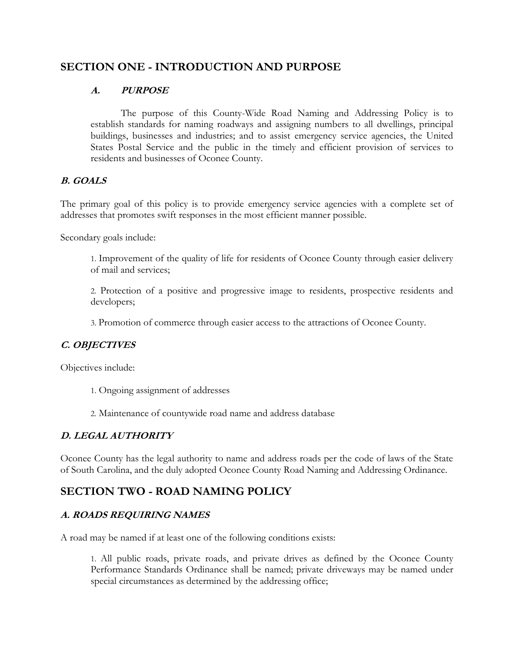## **SECTION ONE - INTRODUCTION AND PURPOSE**

## **A. PURPOSE**

The purpose of this County-Wide Road Naming and Addressing Policy is to establish standards for naming roadways and assigning numbers to all dwellings, principal buildings, businesses and industries; and to assist emergency service agencies, the United States Postal Service and the public in the timely and efficient provision of services to residents and businesses of Oconee County.

### **B. GOALS**

The primary goal of this policy is to provide emergency service agencies with a complete set of addresses that promotes swift responses in the most efficient manner possible.

Secondary goals include:

1. Improvement of the quality of life for residents of Oconee County through easier delivery of mail and services;

2. Protection of a positive and progressive image to residents, prospective residents and developers;

3. Promotion of commerce through easier access to the attractions of Oconee County.

## **C. OBJECTIVES**

Objectives include:

- 1. Ongoing assignment of addresses
- 2. Maintenance of countywide road name and address database

### **D. LEGAL AUTHORITY**

Oconee County has the legal authority to name and address roads per the code of laws of the State of South Carolina, and the duly adopted Oconee County Road Naming and Addressing Ordinance.

## **SECTION TWO - ROAD NAMING POLICY**

### **A. ROADS REQUIRING NAMES**

A road may be named if at least one of the following conditions exists:

1. All public roads, private roads, and private drives as defined by the Oconee County Performance Standards Ordinance shall be named; private driveways may be named under special circumstances as determined by the addressing office;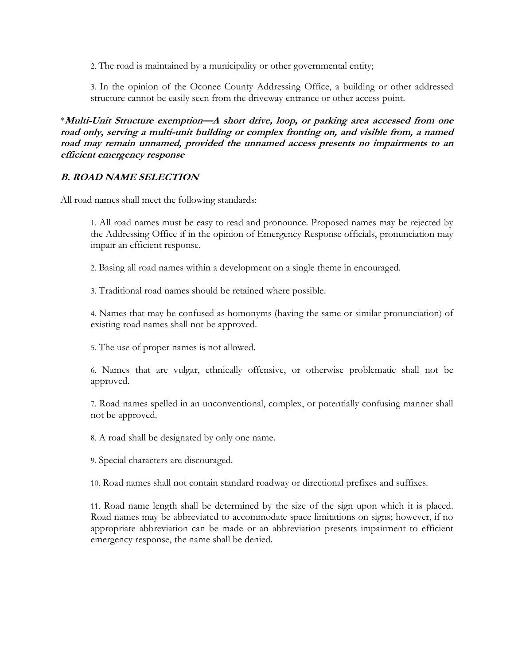2. The road is maintained by a municipality or other governmental entity;

3. In the opinion of the Oconee County Addressing Office, a building or other addressed structure cannot be easily seen from the driveway entrance or other access point.

\***Multi-Unit Structure exemption—A short drive, loop, or parking area accessed from one road only, serving a multi-unit building or complex fronting on, and visible from, a named road may remain unnamed, provided the unnamed access presents no impairments to an efficient emergency response**

### **B. ROAD NAME SELECTION**

All road names shall meet the following standards:

1. All road names must be easy to read and pronounce. Proposed names may be rejected by the Addressing Office if in the opinion of Emergency Response officials, pronunciation may impair an efficient response.

2. Basing all road names within a development on a single theme in encouraged.

3. Traditional road names should be retained where possible.

4. Names that may be confused as homonyms (having the same or similar pronunciation) of existing road names shall not be approved.

5. The use of proper names is not allowed.

6. Names that are vulgar, ethnically offensive, or otherwise problematic shall not be approved.

7. Road names spelled in an unconventional, complex, or potentially confusing manner shall not be approved.

8. A road shall be designated by only one name.

9. Special characters are discouraged.

10. Road names shall not contain standard roadway or directional prefixes and suffixes.

11. Road name length shall be determined by the size of the sign upon which it is placed. Road names may be abbreviated to accommodate space limitations on signs; however, if no appropriate abbreviation can be made or an abbreviation presents impairment to efficient emergency response, the name shall be denied.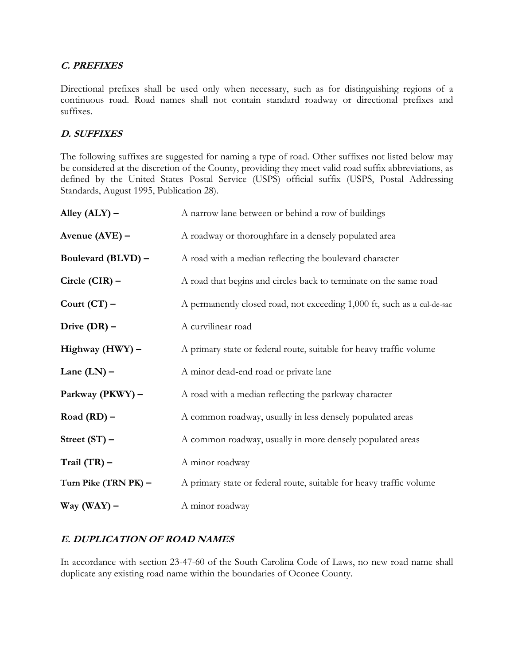### **C. PREFIXES**

Directional prefixes shall be used only when necessary, such as for distinguishing regions of a continuous road. Road names shall not contain standard roadway or directional prefixes and suffixes.

## **D. SUFFIXES**

The following suffixes are suggested for naming a type of road. Other suffixes not listed below may be considered at the discretion of the County, providing they meet valid road suffix abbreviations, as defined by the United States Postal Service (USPS) official suffix (USPS, Postal Addressing Standards, August 1995, Publication 28).

| Alley $(ALY)$ –      | A narrow lane between or behind a row of buildings                      |
|----------------------|-------------------------------------------------------------------------|
| Avenue (AVE) -       | A roadway or thoroughfare in a densely populated area                   |
| Boulevard (BLVD) -   | A road with a median reflecting the boulevard character                 |
| Circle $(CIR)$ –     | A road that begins and circles back to terminate on the same road       |
| Court $(CT)$ –       | A permanently closed road, not exceeding 1,000 ft, such as a cul-de-sac |
| Drive $(DR)$ –       | A curvilinear road                                                      |
| Highway (HWY) -      | A primary state or federal route, suitable for heavy traffic volume     |
| Lane $(LN)$ –        | A minor dead-end road or private lane                                   |
| Parkway (PKWY) -     | A road with a median reflecting the parkway character                   |
| Road $(RD)$ –        | A common roadway, usually in less densely populated areas               |
| Street $(ST)$ –      | A common roadway, usually in more densely populated areas               |
| Trail $(TR)$ –       | A minor roadway                                                         |
| Turn Pike (TRN PK) - | A primary state or federal route, suitable for heavy traffic volume     |
| Way $(WAY)$ –        | A minor roadway                                                         |

## **E. DUPLICATION OF ROAD NAMES**

In accordance with section 23-47-60 of the South Carolina Code of Laws, no new road name shall duplicate any existing road name within the boundaries of Oconee County.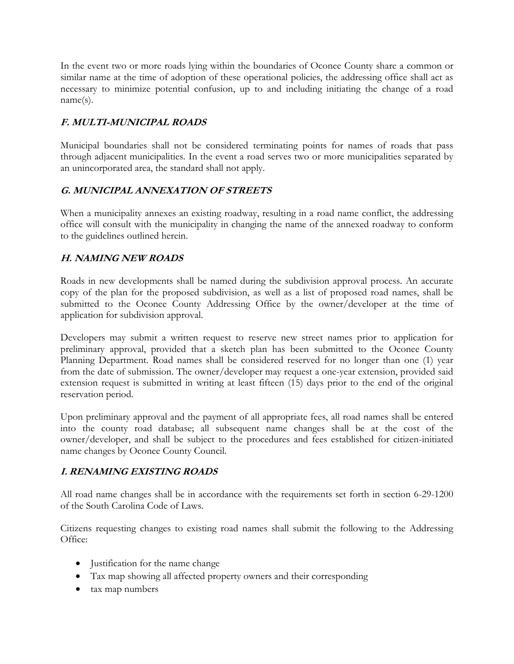In the event two or more roads lying within the boundaries of Oconee County share a common or similar name at the time of adoption of these operational policies, the addressing office shall act as necessary to minimize potential confusion, up to and including initiating the change of a road name(s).

## **F. MULTI-MUNICIPAL ROADS**

Municipal boundaries shall not be considered terminating points for names of roads that pass through adjacent municipalities. In the event a road serves two or more municipalities separated by an unincorporated area, the standard shall not apply.

## **G. MUNICIPAL ANNEXATION OF STREETS**

When a municipality annexes an existing roadway, resulting in a road name conflict, the addressing office will consult with the municipality in changing the name of the annexed roadway to conform to the guidelines outlined herein.

## **H. NAMING NEW ROADS**

Roads in new developments shall be named during the subdivision approval process. An accurate copy of the plan for the proposed subdivision, as well as a list of proposed road names, shall be submitted to the Oconee County Addressing Office by the owner/developer at the time of application for subdivision approval.

Developers may submit a written request to reserve new street names prior to application for preliminary approval, provided that a sketch plan has been submitted to the Oconee County Planning Department. Road names shall be considered reserved for no longer than one (1) year from the date of submission. The owner/developer may request a one-year extension, provided said extension request is submitted in writing at least fifteen (15) days prior to the end of the original reservation period.

Upon preliminary approval and the payment of all appropriate fees, all road names shall be entered into the county road database; all subsequent name changes shall be at the cost of the owner/developer, and shall be subject to the procedures and fees established for citizen-initiated name changes by Oconee County Council.

## **I. RENAMING EXISTING ROADS**

All road name changes shall be in accordance with the requirements set forth in section 6-29-1200 of the South Carolina Code of Laws.

Citizens requesting changes to existing road names shall submit the following to the Addressing Office:

- Justification for the name change
- Tax map showing all affected property owners and their corresponding
- tax map numbers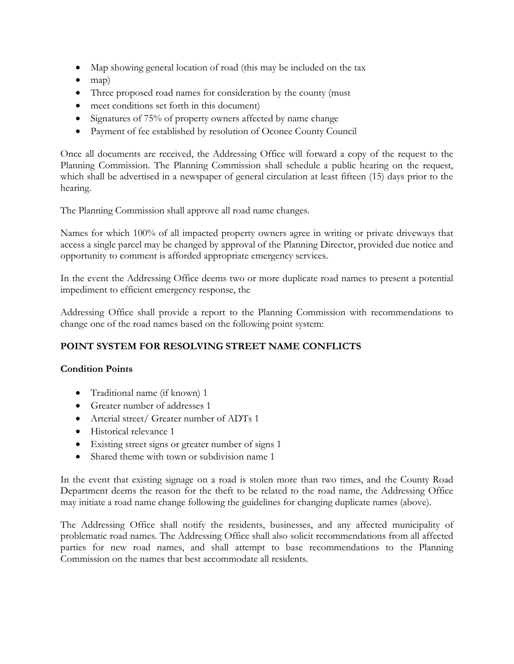- Map showing general location of road (this may be included on the tax
- $\bullet$  map)
- Three proposed road names for consideration by the county (must
- meet conditions set forth in this document)
- Signatures of 75% of property owners affected by name change
- Payment of fee established by resolution of Oconee County Council

Once all documents are received, the Addressing Office will forward a copy of the request to the Planning Commission. The Planning Commission shall schedule a public hearing on the request, which shall be advertised in a newspaper of general circulation at least fifteen (15) days prior to the hearing.

The Planning Commission shall approve all road name changes.

Names for which 100% of all impacted property owners agree in writing or private driveways that access a single parcel may be changed by approval of the Planning Director, provided due notice and opportunity to comment is afforded appropriate emergency services.

In the event the Addressing Office deems two or more duplicate road names to present a potential impediment to efficient emergency response, the

Addressing Office shall provide a report to the Planning Commission with recommendations to change one of the road names based on the following point system:

## **POINT SYSTEM FOR RESOLVING STREET NAME CONFLICTS**

## **Condition Points**

- Traditional name (if known) 1
- Greater number of addresses 1
- Arterial street/ Greater number of ADTs 1
- Historical relevance 1
- Existing street signs or greater number of signs 1
- Shared theme with town or subdivision name 1

In the event that existing signage on a road is stolen more than two times, and the County Road Department deems the reason for the theft to be related to the road name, the Addressing Office may initiate a road name change following the guidelines for changing duplicate names (above).

The Addressing Office shall notify the residents, businesses, and any affected municipality of problematic road names. The Addressing Office shall also solicit recommendations from all affected parties for new road names, and shall attempt to base recommendations to the Planning Commission on the names that best accommodate all residents.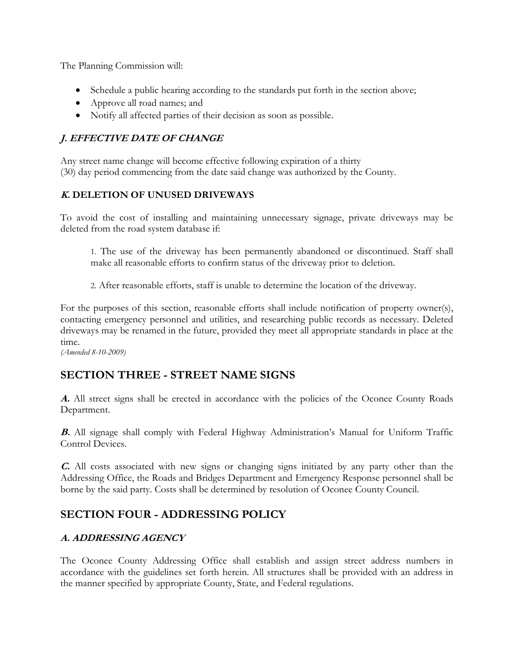The Planning Commission will:

- Schedule a public hearing according to the standards put forth in the section above;
- Approve all road names; and
- Notify all affected parties of their decision as soon as possible.

## **J. EFFECTIVE DATE OF CHANGE**

Any street name change will become effective following expiration of a thirty (30) day period commencing from the date said change was authorized by the County.

## **K. DELETION OF UNUSED DRIVEWAYS**

To avoid the cost of installing and maintaining unnecessary signage, private driveways may be deleted from the road system database if:

1. The use of the driveway has been permanently abandoned or discontinued. Staff shall make all reasonable efforts to confirm status of the driveway prior to deletion.

2. After reasonable efforts, staff is unable to determine the location of the driveway.

For the purposes of this section, reasonable efforts shall include notification of property owner(s), contacting emergency personnel and utilities, and researching public records as necessary. Deleted driveways may be renamed in the future, provided they meet all appropriate standards in place at the time.

*(Amended 8-10-2009)*

## **SECTION THREE - STREET NAME SIGNS**

**A.** All street signs shall be erected in accordance with the policies of the Oconee County Roads Department.

**B.** All signage shall comply with Federal Highway Administration's Manual for Uniform Traffic Control Devices.

**C.** All costs associated with new signs or changing signs initiated by any party other than the Addressing Office, the Roads and Bridges Department and Emergency Response personnel shall be borne by the said party. Costs shall be determined by resolution of Oconee County Council.

## **SECTION FOUR - ADDRESSING POLICY**

## **A. ADDRESSING AGENCY**

The Oconee County Addressing Office shall establish and assign street address numbers in accordance with the guidelines set forth herein. All structures shall be provided with an address in the manner specified by appropriate County, State, and Federal regulations.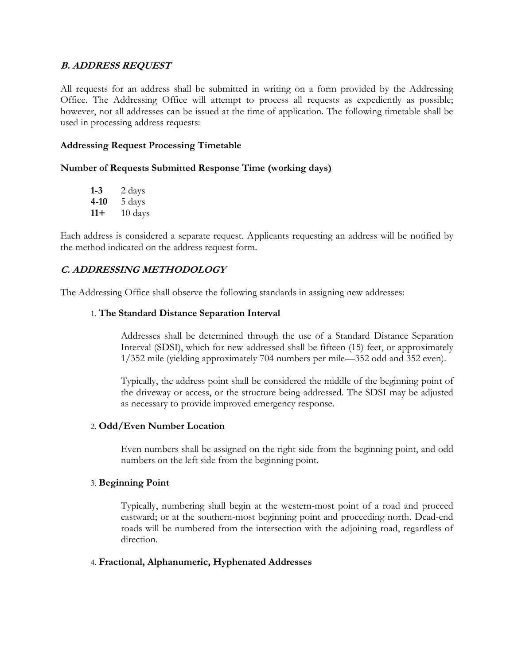### **B. ADDRESS REQUEST**

All requests for an address shall be submitted in writing on a form provided by the Addressing Office. The Addressing Office will attempt to process all requests as expediently as possible; however, not all addresses can be issued at the time of application. The following timetable shall be used in processing address requests:

### **Addressing Request Processing Timetable**

### **Number of Requests Submitted Response Time (working days)**

**1-3** 2 days **4-10** 5 days **11+** 10 days

Each address is considered a separate request. Applicants requesting an address will be notified by the method indicated on the address request form.

### **C. ADDRESSING METHODOLOGY**

The Addressing Office shall observe the following standards in assigning new addresses:

### 1. **The Standard Distance Separation Interval**

Addresses shall be determined through the use of a Standard Distance Separation Interval (SDSI), which for new addressed shall be fifteen (15) feet, or approximately 1/352 mile (yielding approximately 704 numbers per mile—352 odd and 352 even).

Typically, the address point shall be considered the middle of the beginning point of the driveway or access, or the structure being addressed. The SDSI may be adjusted as necessary to provide improved emergency response.

### 2. **Odd/Even Number Location**

Even numbers shall be assigned on the right side from the beginning point, and odd numbers on the left side from the beginning point.

### 3. **Beginning Point**

Typically, numbering shall begin at the western-most point of a road and proceed eastward; or at the southern-most beginning point and proceeding north. Dead-end roads will be numbered from the intersection with the adjoining road, regardless of direction.

### 4. **Fractional, Alphanumeric, Hyphenated Addresses**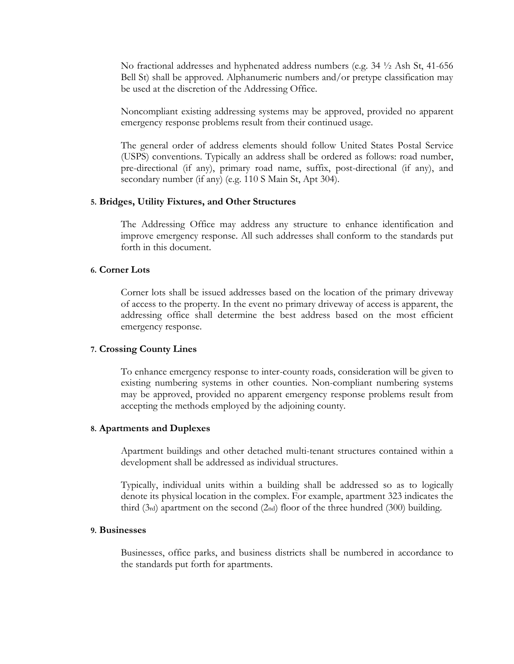No fractional addresses and hyphenated address numbers (e.g. 34 ½ Ash St, 41-656 Bell St) shall be approved. Alphanumeric numbers and/or pretype classification may be used at the discretion of the Addressing Office.

Noncompliant existing addressing systems may be approved, provided no apparent emergency response problems result from their continued usage.

The general order of address elements should follow United States Postal Service (USPS) conventions. Typically an address shall be ordered as follows: road number, pre-directional (if any), primary road name, suffix, post-directional (if any), and secondary number (if any) (e.g. 110 S Main St, Apt 304).

#### **5. Bridges, Utility Fixtures, and Other Structures**

The Addressing Office may address any structure to enhance identification and improve emergency response. All such addresses shall conform to the standards put forth in this document.

### **6. Corner Lots**

Corner lots shall be issued addresses based on the location of the primary driveway of access to the property. In the event no primary driveway of access is apparent, the addressing office shall determine the best address based on the most efficient emergency response.

#### **7. Crossing County Lines**

To enhance emergency response to inter-county roads, consideration will be given to existing numbering systems in other counties. Non-compliant numbering systems may be approved, provided no apparent emergency response problems result from accepting the methods employed by the adjoining county.

#### **8. Apartments and Duplexes**

Apartment buildings and other detached multi-tenant structures contained within a development shall be addressed as individual structures.

Typically, individual units within a building shall be addressed so as to logically denote its physical location in the complex. For example, apartment 323 indicates the third (3rd) apartment on the second (2nd) floor of the three hundred (300) building.

### **9. Businesses**

Businesses, office parks, and business districts shall be numbered in accordance to the standards put forth for apartments.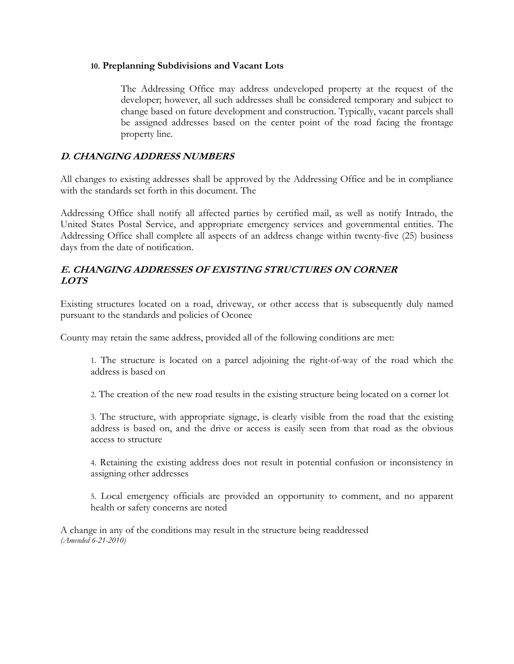### **10. Preplanning Subdivisions and Vacant Lots**

The Addressing Office may address undeveloped property at the request of the developer; however, all such addresses shall be considered temporary and subject to change based on future development and construction. Typically, vacant parcels shall be assigned addresses based on the center point of the road facing the frontage property line.

## **D. CHANGING ADDRESS NUMBERS**

All changes to existing addresses shall be approved by the Addressing Office and be in compliance with the standards set forth in this document. The

Addressing Office shall notify all affected parties by certified mail, as well as notify Intrado, the United States Postal Service, and appropriate emergency services and governmental entities. The Addressing Office shall complete all aspects of an address change within twenty-five (25) business days from the date of notification.

## **E. CHANGING ADDRESSES OF EXISTING STRUCTURES ON CORNER LOTS**

Existing structures located on a road, driveway, or other access that is subsequently duly named pursuant to the standards and policies of Oconee

County may retain the same address, provided all of the following conditions are met:

1. The structure is located on a parcel adjoining the right-of-way of the road which the address is based on

2. The creation of the new road results in the existing structure being located on a corner lot

3. The structure, with appropriate signage, is clearly visible from the road that the existing address is based on, and the drive or access is easily seen from that road as the obvious access to structure

4. Retaining the existing address does not result in potential confusion or inconsistency in assigning other addresses

5. Local emergency officials are provided an opportunity to comment, and no apparent health or safety concerns are noted

A change in any of the conditions may result in the structure being readdressed *(Amended 6-21-2010)*